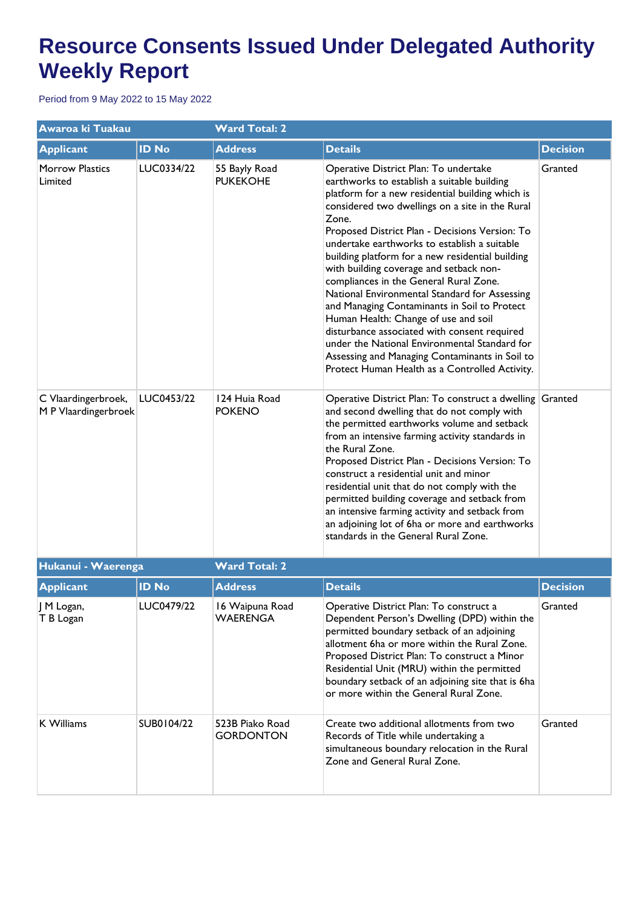| Awaroa ki Tuakau                            |              | <b>Ward Total: 2</b>                |                                                                                                                                                                                                                                                                                                                                                                                                                                                                                                                                                                                                                                                                                                                                                                                               |                 |  |
|---------------------------------------------|--------------|-------------------------------------|-----------------------------------------------------------------------------------------------------------------------------------------------------------------------------------------------------------------------------------------------------------------------------------------------------------------------------------------------------------------------------------------------------------------------------------------------------------------------------------------------------------------------------------------------------------------------------------------------------------------------------------------------------------------------------------------------------------------------------------------------------------------------------------------------|-----------------|--|
| <b>Applicant</b>                            | <b>ID No</b> | <b>Address</b>                      | <b>Details</b>                                                                                                                                                                                                                                                                                                                                                                                                                                                                                                                                                                                                                                                                                                                                                                                | <b>Decision</b> |  |
| Morrow Plastics<br>Limited                  | LUC0334/22   | 55 Bayly Road<br><b>PUKEKOHE</b>    | Operative District Plan: To undertake<br>earthworks to establish a suitable building<br>platform for a new residential building which is<br>considered two dwellings on a site in the Rural<br>Zone.<br>Proposed District Plan - Decisions Version: To<br>undertake earthworks to establish a suitable<br>building platform for a new residential building<br>with building coverage and setback non-<br>compliances in the General Rural Zone.<br>National Environmental Standard for Assessing<br>and Managing Contaminants in Soil to Protect<br>Human Health: Change of use and soil<br>disturbance associated with consent required<br>under the National Environmental Standard for<br>Assessing and Managing Contaminants in Soil to<br>Protect Human Health as a Controlled Activity. | Granted         |  |
| C Vlaardingerbroek,<br>M P Vlaardingerbroek | LUC0453/22   | 124 Huia Road<br><b>POKENO</b>      | Operative District Plan: To construct a dwelling Granted<br>and second dwelling that do not comply with<br>the permitted earthworks volume and setback<br>from an intensive farming activity standards in<br>the Rural Zone.<br>Proposed District Plan - Decisions Version: To<br>construct a residential unit and minor<br>residential unit that do not comply with the<br>permitted building coverage and setback from<br>an intensive farming activity and setback from<br>an adjoining lot of 6ha or more and earthworks<br>standards in the General Rural Zone.                                                                                                                                                                                                                          |                 |  |
| Hukanui - Waerenga                          |              | <b>Ward Total: 2</b>                |                                                                                                                                                                                                                                                                                                                                                                                                                                                                                                                                                                                                                                                                                                                                                                                               |                 |  |
| <b>Applicant</b>                            | <b>ID No</b> | <b>Address</b>                      | <b>Details</b>                                                                                                                                                                                                                                                                                                                                                                                                                                                                                                                                                                                                                                                                                                                                                                                | <b>Decision</b> |  |
| J M Logan,<br>T B Logan                     | LUC0479/22   | 16 Waipuna Road<br><b>WAERENGA</b>  | Operative District Plan: To construct a<br>Dependent Person's Dwelling (DPD) within the<br>permitted boundary setback of an adjoining<br>allotment 6ha or more within the Rural Zone.<br>Proposed District Plan: To construct a Minor<br>Residential Unit (MRU) within the permitted<br>boundary setback of an adjoining site that is 6ha<br>or more within the General Rural Zone.                                                                                                                                                                                                                                                                                                                                                                                                           | Granted         |  |
| K Williams                                  | SUB0104/22   | 523B Piako Road<br><b>GORDONTON</b> | Create two additional allotments from two<br>Records of Title while undertaking a<br>simultaneous boundary relocation in the Rural<br>Zone and General Rural Zone.                                                                                                                                                                                                                                                                                                                                                                                                                                                                                                                                                                                                                            | Granted         |  |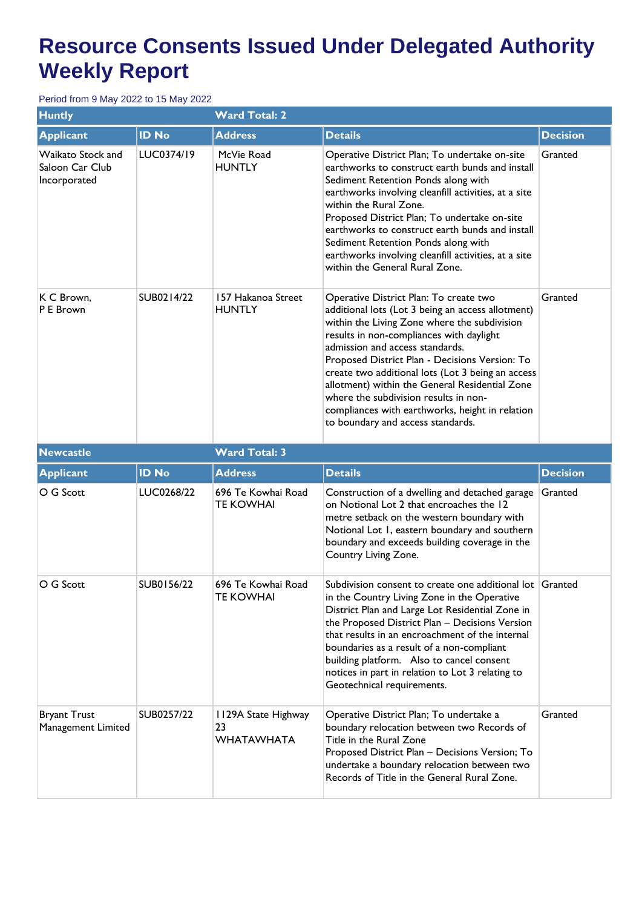| <b>Huntly</b>                                        |              | <b>Ward Total: 2</b>                   |                                                                                                                                                                                                                                                                                                                                                                                                                                                                                                                      |                 |  |
|------------------------------------------------------|--------------|----------------------------------------|----------------------------------------------------------------------------------------------------------------------------------------------------------------------------------------------------------------------------------------------------------------------------------------------------------------------------------------------------------------------------------------------------------------------------------------------------------------------------------------------------------------------|-----------------|--|
| <b>Applicant</b>                                     | <b>ID No</b> | <b>Address</b>                         | <b>Details</b>                                                                                                                                                                                                                                                                                                                                                                                                                                                                                                       | <b>Decision</b> |  |
| Waikato Stock and<br>Saloon Car Club<br>Incorporated | LUC0374/19   | McVie Road<br><b>HUNTLY</b>            | Operative District Plan; To undertake on-site<br>earthworks to construct earth bunds and install<br>Sediment Retention Ponds along with<br>earthworks involving cleanfill activities, at a site<br>within the Rural Zone.<br>Proposed District Plan; To undertake on-site<br>earthworks to construct earth bunds and install<br>Sediment Retention Ponds along with<br>earthworks involving cleanfill activities, at a site<br>within the General Rural Zone.                                                        | Granted         |  |
| K C Brown,<br>P E Brown                              | SUB0214/22   | 157 Hakanoa Street<br><b>HUNTLY</b>    | Operative District Plan: To create two<br>additional lots (Lot 3 being an access allotment)<br>within the Living Zone where the subdivision<br>results in non-compliances with daylight<br>admission and access standards.<br>Proposed District Plan - Decisions Version: To<br>create two additional lots (Lot 3 being an access<br>allotment) within the General Residential Zone<br>where the subdivision results in non-<br>compliances with earthworks, height in relation<br>to boundary and access standards. | Granted         |  |
| <b>Newcastle</b>                                     |              | <b>Ward Total: 3</b>                   |                                                                                                                                                                                                                                                                                                                                                                                                                                                                                                                      |                 |  |
| <b>Applicant</b>                                     | <b>ID No</b> | <b>Address</b>                         | <b>Details</b>                                                                                                                                                                                                                                                                                                                                                                                                                                                                                                       | <b>Decision</b> |  |
| O G Scott                                            | LUC0268/22   | 696 Te Kowhai Road<br><b>TE KOWHAI</b> | Construction of a dwelling and detached garage<br>on Notional Lot 2 that encroaches the 12<br>metre setback on the western boundary with<br>Notional Lot 1, eastern boundary and southern                                                                                                                                                                                                                                                                                                                            | Granted         |  |
|                                                      |              |                                        | boundary and exceeds building coverage in the<br>Country Living Zone.                                                                                                                                                                                                                                                                                                                                                                                                                                                |                 |  |
| O G Scott                                            | SUB0156/22   | 696 Te Kowhai Road<br><b>TE KOWHAI</b> | Subdivision consent to create one additional lot Granted<br>in the Country Living Zone in the Operative<br>District Plan and Large Lot Residential Zone in<br>the Proposed District Plan - Decisions Version<br>that results in an encroachment of the internal<br>boundaries as a result of a non-compliant<br>building platform. Also to cancel consent<br>notices in part in relation to Lot 3 relating to<br>Geotechnical requirements.                                                                          |                 |  |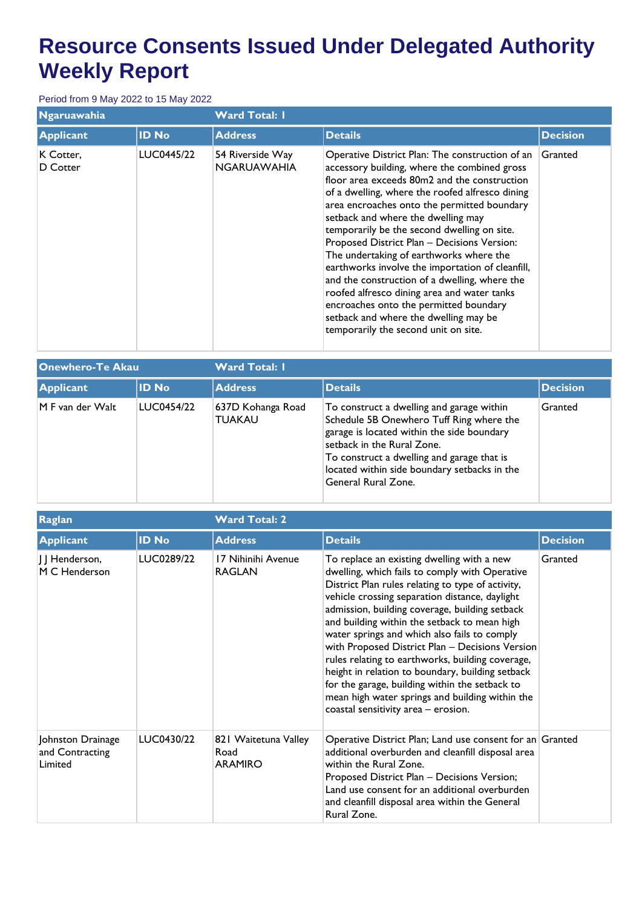| Ngaruawahia           |              | <b>Ward Total: I</b>                   |                                                                                                                                                                                                                                                                                                                                                                                                                                                                                                                                                                                                                                                                                                                 |                 |  |
|-----------------------|--------------|----------------------------------------|-----------------------------------------------------------------------------------------------------------------------------------------------------------------------------------------------------------------------------------------------------------------------------------------------------------------------------------------------------------------------------------------------------------------------------------------------------------------------------------------------------------------------------------------------------------------------------------------------------------------------------------------------------------------------------------------------------------------|-----------------|--|
| <b>Applicant</b>      | <b>ID No</b> | <b>Address</b>                         | <b>Details</b>                                                                                                                                                                                                                                                                                                                                                                                                                                                                                                                                                                                                                                                                                                  | <b>Decision</b> |  |
| K Cotter,<br>D Cotter | LUC0445/22   | 54 Riverside Way<br><b>NGARUAWAHIA</b> | Operative District Plan: The construction of an<br>accessory building, where the combined gross<br>floor area exceeds 80m2 and the construction<br>of a dwelling, where the roofed alfresco dining<br>area encroaches onto the permitted boundary<br>setback and where the dwelling may<br>temporarily be the second dwelling on site.<br>Proposed District Plan - Decisions Version:<br>The undertaking of earthworks where the<br>earthworks involve the importation of cleanfill,<br>and the construction of a dwelling, where the<br>roofed alfresco dining area and water tanks<br>encroaches onto the permitted boundary<br>setback and where the dwelling may be<br>temporarily the second unit on site. | Granted         |  |

| Onewhero-Te Akau |              | <b>Ward Total: I</b>               |                                                                                                                                                                                                                                                                                        |                 |  |
|------------------|--------------|------------------------------------|----------------------------------------------------------------------------------------------------------------------------------------------------------------------------------------------------------------------------------------------------------------------------------------|-----------------|--|
| <b>Applicant</b> | <b>ID No</b> | <b>Address</b>                     | <b>Details</b>                                                                                                                                                                                                                                                                         | <b>Decision</b> |  |
| M F van der Walt | LUC0454/22   | 637D Kohanga Road<br><b>TUAKAU</b> | To construct a dwelling and garage within<br>Schedule 5B Onewhero Tuff Ring where the<br>garage is located within the side boundary<br>setback in the Rural Zone.<br>To construct a dwelling and garage that is<br>located within side boundary setbacks in the<br>General Rural Zone. | Granted         |  |

| Raglan                                          |              | <b>Ward Total: 2</b>                           |                                                                                                                                                                                                                                                                                                                                                                                                                                                                                                                                                                                                                                                              |                 |  |
|-------------------------------------------------|--------------|------------------------------------------------|--------------------------------------------------------------------------------------------------------------------------------------------------------------------------------------------------------------------------------------------------------------------------------------------------------------------------------------------------------------------------------------------------------------------------------------------------------------------------------------------------------------------------------------------------------------------------------------------------------------------------------------------------------------|-----------------|--|
| <b>Applicant</b>                                | <b>ID No</b> | <b>Address</b>                                 | <b>Details</b>                                                                                                                                                                                                                                                                                                                                                                                                                                                                                                                                                                                                                                               | <b>Decision</b> |  |
| J J Henderson,<br>M C Henderson                 | LUC0289/22   | 17 Nihinihi Avenue<br><b>RAGLAN</b>            | To replace an existing dwelling with a new<br>dwelling, which fails to comply with Operative<br>District Plan rules relating to type of activity,<br>vehicle crossing separation distance, daylight<br>admission, building coverage, building setback<br>and building within the setback to mean high<br>water springs and which also fails to comply<br>with Proposed District Plan - Decisions Version<br>rules relating to earthworks, building coverage,<br>height in relation to boundary, building setback<br>for the garage, building within the setback to<br>mean high water springs and building within the<br>coastal sensitivity area - erosion. | Granted         |  |
| Johnston Drainage<br>and Contracting<br>Limited | LUC0430/22   | 821 Waitetuna Valley<br>Road<br><b>ARAMIRO</b> | Operative District Plan; Land use consent for an Granted<br>additional overburden and cleanfill disposal area<br>within the Rural Zone.<br>Proposed District Plan - Decisions Version;<br>Land use consent for an additional overburden<br>and cleanfill disposal area within the General<br>Rural Zone.                                                                                                                                                                                                                                                                                                                                                     |                 |  |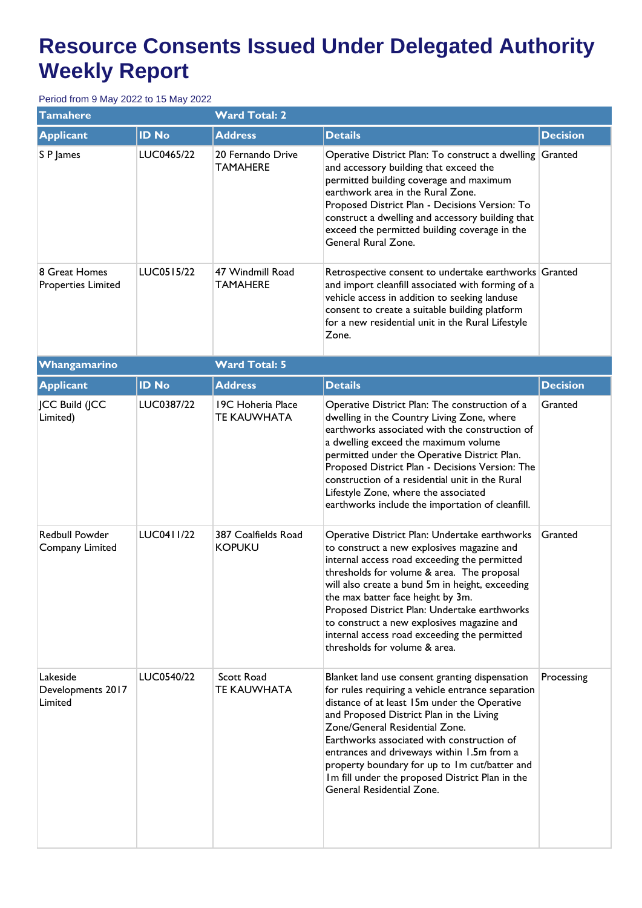| <b>Tamahere</b>                            |              | <b>Ward Total: 2</b>                    |                                                                                                                                                                                                                                                                                                                                                                                                                                                                  |                 |  |  |
|--------------------------------------------|--------------|-----------------------------------------|------------------------------------------------------------------------------------------------------------------------------------------------------------------------------------------------------------------------------------------------------------------------------------------------------------------------------------------------------------------------------------------------------------------------------------------------------------------|-----------------|--|--|
| <b>Applicant</b>                           | <b>ID No</b> | <b>Address</b>                          | <b>Details</b>                                                                                                                                                                                                                                                                                                                                                                                                                                                   | <b>Decision</b> |  |  |
| S P James                                  | LUC0465/22   | 20 Fernando Drive<br><b>TAMAHERE</b>    | Operative District Plan: To construct a dwelling Granted<br>and accessory building that exceed the<br>permitted building coverage and maximum<br>earthwork area in the Rural Zone.<br>Proposed District Plan - Decisions Version: To<br>construct a dwelling and accessory building that<br>exceed the permitted building coverage in the<br>General Rural Zone.                                                                                                 |                 |  |  |
| 8 Great Homes<br><b>Properties Limited</b> | LUC0515/22   | 47 Windmill Road<br><b>TAMAHERE</b>     | Retrospective consent to undertake earthworks Granted<br>and import cleanfill associated with forming of a<br>vehicle access in addition to seeking landuse<br>consent to create a suitable building platform<br>for a new residential unit in the Rural Lifestyle<br>Zone.                                                                                                                                                                                      |                 |  |  |
| Whangamarino                               |              | <b>Ward Total: 5</b>                    |                                                                                                                                                                                                                                                                                                                                                                                                                                                                  |                 |  |  |
| <b>Applicant</b>                           | <b>ID No</b> | <b>Address</b>                          | <b>Details</b>                                                                                                                                                                                                                                                                                                                                                                                                                                                   | <b>Decision</b> |  |  |
| <b>JCC Build (JCC</b><br>Limited)          | LUC0387/22   | 19C Hoheria Place<br><b>TE KAUWHATA</b> | Operative District Plan: The construction of a<br>dwelling in the Country Living Zone, where<br>earthworks associated with the construction of<br>a dwelling exceed the maximum volume<br>permitted under the Operative District Plan.<br>Proposed District Plan - Decisions Version: The<br>construction of a residential unit in the Rural<br>Lifestyle Zone, where the associated<br>earthworks include the importation of cleanfill.                         | Granted         |  |  |
| Redbull Powder<br>Company Limited          | LUC0411/22   | 387 Coalfields Road<br><b>KOPUKU</b>    | Operative District Plan: Undertake earthworks<br>to construct a new explosives magazine and<br>internal access road exceeding the permitted<br>thresholds for volume & area. The proposal<br>will also create a bund 5m in height, exceeding<br>the max batter face height by 3m.<br>Proposed District Plan: Undertake earthworks<br>to construct a new explosives magazine and<br>internal access road exceeding the permitted<br>thresholds for volume & area. | Granted         |  |  |
| Lakeside<br>Developments 2017<br>Limited   | LUC0540/22   | Scott Road<br><b>TE KAUWHATA</b>        | Blanket land use consent granting dispensation<br>for rules requiring a vehicle entrance separation<br>distance of at least 15m under the Operative<br>and Proposed District Plan in the Living<br>Zone/General Residential Zone.<br>Earthworks associated with construction of<br>entrances and driveways within 1.5m from a<br>property boundary for up to 1m cut/batter and<br>Im fill under the proposed District Plan in the<br>General Residential Zone.   | Processing      |  |  |